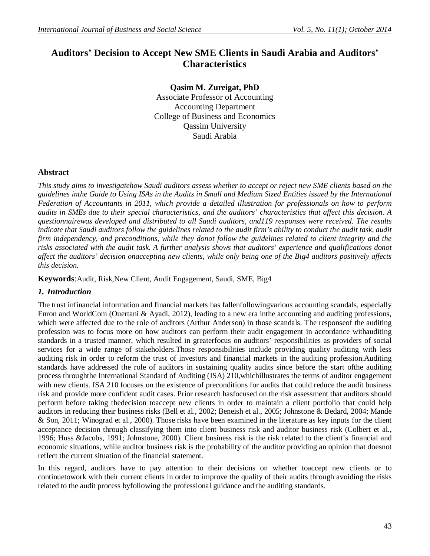# **Auditors' Decision to Accept New SME Clients in Saudi Arabia and Auditors' Characteristics**

**Qasim M. Zureigat, PhD** Associate Professor of Accounting Accounting Department College of Business and Economics Qassim University Saudi Arabia

#### **Abstract**

*This study aims to investigatehow Saudi auditors assess whether to accept or reject new SME clients based on the guidelines inthe Guide to Using ISAs in the Audits in Small and Medium Sized Entities issued by the International Federation of Accountants in 2011, which provide a detailed illustration for professionals on how to perform audits in SMEs due to their special characteristics, and the auditors' characteristics that affect this decision. A questionnairewas developed and distributed to all Saudi auditors, and119 responses were received. The results indicate that Saudi auditors follow the guidelines related to the audit firm's ability to conduct the audit task, audit firm independency, and preconditions, while they donot follow the guidelines related to client integrity and the risks associated with the audit task. A further analysis shows that auditors' experience and qualifications donot affect the auditors' decision onaccepting new clients, while only being one of the Big4 auditors positively affects this decision.* 

**Keywords**:Audit, Risk,New Client, Audit Engagement, Saudi, SME, Big4

#### *1. Introduction*

The trust infinancial information and financial markets has fallenfollowingvarious accounting scandals, especially Enron and WorldCom (Ouertani & Ayadi, 2012), leading to a new era inthe accounting and auditing professions, which were affected due to the role of auditors (Arthur Anderson) in those scandals. The response f the auditing profession was to focus more on how auditors can perform their audit engagement in accordance withauditing standards in a trusted manner, which resulted in greaterfocus on auditors' responsibilities as providers of social services for a wide range of stakeholders.Those responsibilities include providing quality auditing with less auditing risk in order to reform the trust of investors and financial markets in the auditing profession.Auditing standards have addressed the role of auditors in sustaining quality audits since before the start ofthe auditing process throughthe International Standard of Auditing (ISA) 210,whichillustrates the terms of auditor engagement with new clients. ISA 210 focuses on the existence of preconditions for audits that could reduce the audit business risk and provide more confident audit cases. Prior research hasfocused on the risk assessment that auditors should perform before taking thedecision toaccept new clients in order to maintain a client portfolio that could help auditors in reducing their business risks (Bell et al., 2002; Beneish et al., 2005; Johnstone & Bedard, 2004; Mande & Son, 2011; Winograd et al., 2000). Those risks have been examined in the literature as key inputs for the client acceptance decision through classifying them into client business risk and auditor business risk (Colbert et al., 1996; Huss &Jacobs, 1991; Johnstone, 2000). Client business risk is the risk related to the client's financial and economic situations, while auditor business risk is the probability of the auditor providing an opinion that doesnot reflect the current situation of the financial statement.

In this regard, auditors have to pay attention to their decisions on whether toaccept new clients or to continuetowork with their current clients in order to improve the quality of their audits through avoiding the risks related to the audit process byfollowing the professional guidance and the auditing standards.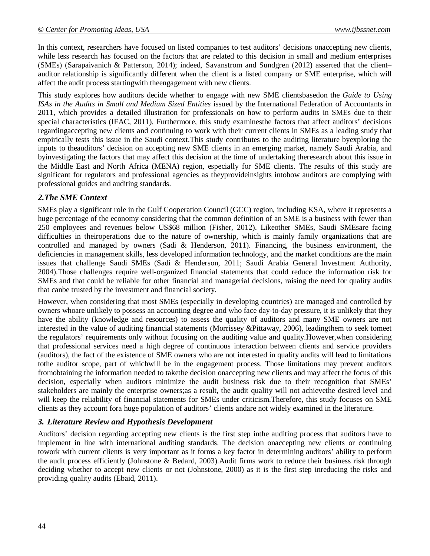In this context, researchers have focused on listed companies to test auditors' decisions onaccepting new clients, while less research has focused on the factors that are related to this decision in small and medium enterprises (SMEs) (Sarapaivanich & Patterson, 2014); indeed, Savanstrom and Sundgren (2012) asserted that the client– auditor relationship is significantly different when the client is a listed company or SME enterprise, which will affect the audit process startingwith theengagement with new clients.

This study explores how auditors decide whether to engage with new SME clientsbasedon the *Guide to Using ISAs in the Audits in Small and Medium Sized Entities* issued by the International Federation of Accountants in 2011, which provides a detailed illustration for professionals on how to perform audits in SMEs due to their special characteristics (IFAC, 2011). Furthermore, this study examinesthe factors that affect auditors' decisions regardingaccepting new clients and continuing to work with their current clients in SMEs as a leading study that empirically tests this issue in the Saudi context.This study contributes to the auditing literature byexploring the inputs to theauditors' decision on accepting new SME clients in an emerging market, namely Saudi Arabia, and byinvestigating the factors that may affect this decision at the time of undertaking theresearch about this issue in the Middle East and North Africa (MENA) region, especially for SME clients. The results of this study are significant for regulators and professional agencies as theyprovideinsights intohow auditors are complying with professional guides and auditing standards.

## *2.The SME Context*

SMEs play a significant role in the Gulf Cooperation Council (GCC) region, including KSA, where it represents a huge percentage of the economy considering that the common definition of an SME is a business with fewer than 250 employees and revenues below US\$68 million (Fisher, 2012). Likeother SMEs, Saudi SMEsare facing difficulties in theiroperations due to the nature of ownership, which is mainly family organizations that are controlled and managed by owners (Sadi & Henderson, 2011). Financing, the business environment, the deficiencies in management skills, less developed information technology, and the market conditions are the main issues that challenge Saudi SMEs (Sadi & Henderson, 2011; Saudi Arabia General Investment Authority, 2004).Those challenges require well-organized financial statements that could reduce the information risk for SMEs and that could be reliable for other financial and managerial decisions, raising the need for quality audits that canbe trusted by the investment and financial society.

However, when considering that most SMEs (especially in developing countries) are managed and controlled by owners whoare unlikely to possess an accounting degree and who face day-to-day pressure, it is unlikely that they have the ability (knowledge and resources) to assess the quality of auditors and many SME owners are not interested in the value of auditing financial statements (Morrissey &Pittaway, 2006), leadingthem to seek tomeet the regulators' requirements only without focusing on the auditing value and quality.However,when considering that professional services need a high degree of continuous interaction between clients and service providers (auditors), the fact of the existence of SME owners who are not interested in quality audits will lead to limitations tothe auditor scope, part of whichwill be in the engagement process. Those limitations may prevent auditors fromobtaining the information needed to takethe decision onaccepting new clients and may affect the focus of this decision, especially when auditors minimize the audit business risk due to their recognition that SMEs' stakeholders are mainly the enterprise owners;as a result, the audit quality will not achievethe desired level and will keep the reliability of financial statements for SMEs under criticism.Therefore, this study focuses on SME clients as they account fora huge population of auditors' clients andare not widely examined in the literature.

#### *3. Literature Review and Hypothesis Development*

Auditors' decision regarding accepting new clients is the first step inthe auditing process that auditors have to implement in line with international auditing standards. The decision onaccepting new clients or continuing towork with current clients is very important as it forms a key factor in determining auditors' ability to perform the audit process efficiently (Johnstone & Bedard, 2003).Audit firms work to reduce their business risk through deciding whether to accept new clients or not (Johnstone, 2000) as it is the first step inreducing the risks and providing quality audits (Ebaid, 2011).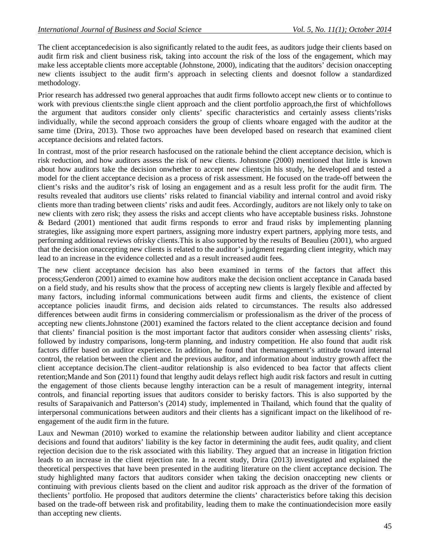The client acceptancedecision is also significantly related to the audit fees, as auditors judge their clients based on audit firm risk and client business risk, taking into account the risk of the loss of the engagement, which may make less acceptable clients more acceptable (Johnstone, 2000), indicating that the auditors' decision onaccepting new clients issubject to the audit firm's approach in selecting clients and doesnot follow a standardized methodology.

Prior research has addressed two general approaches that audit firms followto accept new clients or to continue to work with previous clients:the single client approach and the client portfolio approach,the first of whichfollows the argument that auditors consider only clients' specific characteristics and certainly assess clients'risks individually, while the second approach considers the group of clients whoare engaged with the auditor at the same time (Drira, 2013). Those two approaches have been developed based on research that examined client acceptance decisions and related factors.

In contrast, most of the prior research hasfocused on the rationale behind the client acceptance decision, which is risk reduction, and how auditors assess the risk of new clients. Johnstone (2000) mentioned that little is known about how auditors take the decision onwhether to accept new clients;in his study, he developed and tested a model for the client acceptance decision as a process of risk assessment. He focused on the trade-off between the client's risks and the auditor's risk of losing an engagement and as a result less profit for the audit firm. The results revealed that auditors use clients' risks related to financial viability and internal control and avoid risky clients more than trading between clients' risks and audit fees. Accordingly, auditors are not likely only to take on new clients with zero risk; they assess the risks and accept clients who have acceptable business risks. Johnstone & Bedard (2001) mentioned that audit firms responds to error and fraud risks by implementing planning strategies, like assigning more expert partners, assigning more industry expert partners, applying more tests, and performing additional reviews ofrisky clients.This is also supported by the results of Beaulieu (2001), who argued that the decision onaccepting new clients is related to the auditor's judgment regarding client integrity, which may lead to an increase in the evidence collected and as a result increased audit fees.

The new client acceptance decision has also been examined in terms of the factors that affect this process;Genderon (2001) aimed to examine how auditors make the decision onclient acceptance in Canada based on a field study, and his results show that the process of accepting new clients is largely flexible and affected by many factors, including informal communications between audit firms and clients, the existence of client acceptance policies inaudit firms, and decision aids related to circumstances. The results also addressed differences between audit firms in considering commercialism or professionalism as the driver of the process of accepting new clients.Johnstone (2001) examined the factors related to the client acceptance decision and found that clients' financial position is the most important factor that auditors consider when assessing clients' risks, followed by industry comparisons, long-term planning, and industry competition. He also found that audit risk factors differ based on auditor experience. In addition, he found that themanagement's attitude toward internal control, the relation between the client and the previous auditor, and information about industry growth affect the client acceptance decision.The client–auditor relationship is also evidenced to bea factor that affects client retention;Mande and Son (2011) found that lengthy audit delays reflect high audit risk factors and result in cutting the engagement of those clients because lengthy interaction can be a result of management integrity, internal controls, and financial reporting issues that auditors consider to berisky factors. This is also supported by the results of Sarapaivanich and Patterson's (2014) study, implemented in Thailand, which found that the quality of interpersonal communications between auditors and their clients has a significant impact on the likelihood of reengagement of the audit firm in the future.

Laux and Newman (2010) worked to examine the relationship between auditor liability and client acceptance decisions and found that auditors' liability is the key factor in determining the audit fees, audit quality, and client rejection decision due to the risk associated with this liability. They argued that an increase in litigation friction leads to an increase in the client rejection rate. In a recent study, Drira (2013) investigated and explained the theoretical perspectives that have been presented in the auditing literature on the client acceptance decision. The study highlighted many factors that auditors consider when taking the decision onaccepting new clients or continuing with previous clients based on the client and auditor risk approach as the driver of the formation of theclients' portfolio. He proposed that auditors determine the clients' characteristics before taking this decision based on the trade-off between risk and profitability, leading them to make the continuationdecision more easily than accepting new clients.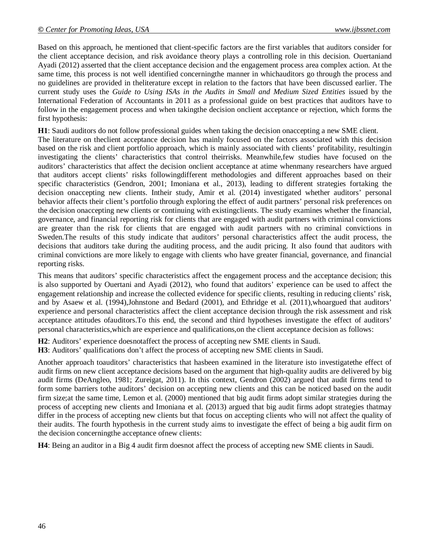Based on this approach, he mentioned that client-specific factors are the first variables that auditors consider for the client acceptance decision, and risk avoidance theory plays a controlling role in this decision. Ouertaniand Ayadi (2012) asserted that the client acceptance decision and the engagement process area complex action. At the same time, this process is not well identified concerningthe manner in whichauditors go through the process and no guidelines are provided in theliterature except in relation to the factors that have been discussed earlier. The current study uses the *Guide to Using ISAs in the Audits in Small and Medium Sized Entities* issued by the International Federation of Accountants in 2011 as a professional guide on best practices that auditors have to follow in the engagement process and when takingthe decision onclient acceptance or rejection, which forms the first hypothesis:

**H1**: Saudi auditors do not follow professional guides when taking the decision onaccepting a new SME client. The literature on theclient acceptance decision has mainly focused on the factors associated with this decision based on the risk and client portfolio approach, which is mainly associated with clients' profitability, resultingin investigating the clients' characteristics that control theirrisks. Meanwhile,few studies have focused on the auditors' characteristics that affect the decision onclient acceptance at atime whenmany researchers have argued that auditors accept clients' risks followingdifferent methodologies and different approaches based on their specific characteristics (Gendron, 2001; Imoniana et al., 2013), leading to different strategies fortaking the decision onaccepting new clients. Intheir study, Amir et al. (2014) investigated whether auditors' personal behavior affects their client's portfolio through exploring the effect of audit partners' personal risk preferences on the decision onaccepting new clients or continuing with existingclients. The study examines whether the financial, governance, and financial reporting risk for clients that are engaged with audit partners with criminal convictions are greater than the risk for clients that are engaged with audit partners with no criminal convictions in Sweden.The results of this study indicate that auditors' personal characteristics affect the audit process, the decisions that auditors take during the auditing process, and the audit pricing. It also found that auditors with criminal convictions are more likely to engage with clients who have greater financial, governance, and financial reporting risks.

This means that auditors' specific characteristics affect the engagement process and the acceptance decision; this is also supported by Ouertani and Ayadi (2012), who found that auditors' experience can be used to affect the engagement relationship and increase the collected evidence for specific clients, resulting in reducing clients' risk, and by Asaew et al. (1994),Johnstone and Bedard (2001), and Ethridge et al. (2011),whoargued that auditors' experience and personal characteristics affect the client acceptance decision through the risk assessment and risk acceptance attitudes ofauditors.To this end, the second and third hypotheses investigate the effect of auditors' personal characteristics,which are experience and qualifications,on the client acceptance decision as follows:

**H2**: Auditors' experience doesnotaffect the process of accepting new SME clients in Saudi. **H3**: Auditors' qualifications don't affect the process of accepting new SME clients in Saudi.

Another approach toauditors' characteristics that hasbeen examined in the literature isto investigatethe effect of audit firms on new client acceptance decisions based on the argument that high-quality audits are delivered by big audit firms (DeAngleo, 1981; Zureigat, 2011). In this context, Gendron (2002) argued that audit firms tend to form some barriers tothe auditors' decision on accepting new clients and this can be noticed based on the audit firm size;at the same time, Lemon et al. (2000) mentioned that big audit firms adopt similar strategies during the process of accepting new clients and Imoniana et al. (2013) argued that big audit firms adopt strategies thatmay differ in the process of accepting new clients but that focus on accepting clients who will not affect the quality of their audits. The fourth hypothesis in the current study aims to investigate the effect of being a big audit firm on the decision concerningthe acceptance ofnew clients:

**H4**: Being an auditor in a Big 4 audit firm doesnot affect the process of accepting new SME clients in Saudi.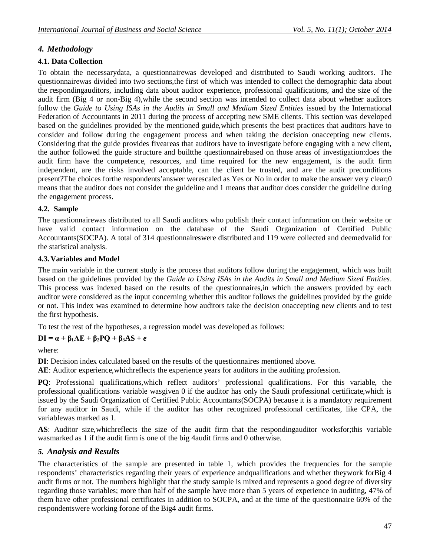## *4. Methodology*

## **4.1. Data Collection**

To obtain the necessarydata, a questionnairewas developed and distributed to Saudi working auditors. The questionnairewas divided into two sections,the first of which was intended to collect the demographic data about the respondingauditors, including data about auditor experience, professional qualifications, and the size of the audit firm (Big 4 or non-Big 4),while the second section was intended to collect data about whether auditors follow the *Guide to Using ISAs in the Audits in Small and Medium Sized Entities* issued by the International Federation of Accountants in 2011 during the process of accepting new SME clients. This section was developed based on the guidelines provided by the mentioned guide,which presents the best practices that auditors have to consider and follow during the engagement process and when taking the decision onaccepting new clients. Considering that the guide provides fiveareas that auditors have to investigate before engaging with a new client, the author followed the guide structure and builtthe questionnairebased on those areas of investigation:does the audit firm have the competence, resources, and time required for the new engagement, is the audit firm independent, are the risks involved acceptable, can the client be trusted, and are the audit preconditions present?The choices forthe respondents'answer werescaled as Yes or No in order to make the answer very clear;0 means that the auditor does not consider the guideline and 1 means that auditor does consider the guideline during the engagement process.

#### **4.2. Sample**

The questionnairewas distributed to all Saudi auditors who publish their contact information on their website or have valid contact information on the database of the Saudi Organization of Certified Public Accountants(SOCPA). A total of 314 questionnaireswere distributed and 119 were collected and deemedvalid for the statistical analysis.

#### **4.3.Variables and Model**

The main variable in the current study is the process that auditors follow during the engagement, which was built based on the guidelines provided by the *Guide to Using ISAs in the Audits in Small and Medium Sized Entities*. This process was indexed based on the results of the questionnaires,in which the answers provided by each auditor were considered as the input concerning whether this auditor follows the guidelines provided by the guide or not. This index was examined to determine how auditors take the decision onaccepting new clients and to test the first hypothesis.

To test the rest of the hypotheses, a regression model was developed as follows:

## **DI = α + β1AE + β2PQ + β3AS +** *e*

where:

**DI**: Decision index calculated based on the results of the questionnaires mentioned above.

**AE**: Auditor experience,whichreflects the experience years for auditors in the auditing profession.

**PQ**: Professional qualifications,which reflect auditors' professional qualifications. For this variable, the professional qualifications variable wasgiven 0 if the auditor has only the Saudi professional certificate,which is issued by the Saudi Organization of Certified Public Accountants(SOCPA) because it is a mandatory requirement for any auditor in Saudi, while if the auditor has other recognized professional certificates, like CPA, the variablewas marked as 1.

**AS**: Auditor size,whichreflects the size of the audit firm that the respondingauditor worksfor;this variable wasmarked as 1 if the audit firm is one of the big 4audit firms and 0 otherwise.

## *5. Analysis and Results*

The characteristics of the sample are presented in table 1, which provides the frequencies for the sample respondents' characteristics regarding their years of experience andqualifications and whether theywork forBig 4 audit firms or not. The numbers highlight that the study sample is mixed and represents a good degree of diversity regarding those variables; more than half of the sample have more than 5 years of experience in auditing, 47% of them have other professional certificates in addition to SOCPA, and at the time of the questionnaire 60% of the respondentswere working forone of the Big4 audit firms.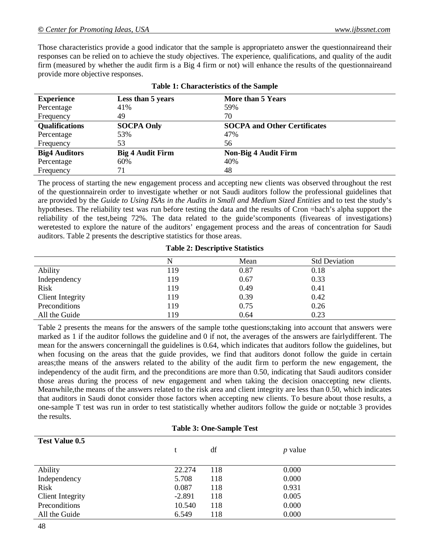Those characteristics provide a good indicator that the sample is appropriateto answer the questionnaireand their responses can be relied on to achieve the study objectives. The experience, qualifications, and quality of the audit firm (measured by whether the audit firm is a Big 4 firm or not) will enhance the results of the questionnaireand provide more objective responses.

| $\sim$ wore in the contract of the contract of the contract of the contract of the contract of the contract of the contract of the contract of the contract of the contract of the contract of the contract of the contract of |                         |                                     |  |
|--------------------------------------------------------------------------------------------------------------------------------------------------------------------------------------------------------------------------------|-------------------------|-------------------------------------|--|
| <b>Experience</b>                                                                                                                                                                                                              | Less than 5 years       | More than 5 Years                   |  |
| Percentage                                                                                                                                                                                                                     | 41%                     | 59%                                 |  |
| Frequency                                                                                                                                                                                                                      | 49                      | 70                                  |  |
| <b>Qualifications</b>                                                                                                                                                                                                          | <b>SOCPA Only</b>       | <b>SOCPA and Other Certificates</b> |  |
| Percentage                                                                                                                                                                                                                     | 53%                     | 47%                                 |  |
| Frequency                                                                                                                                                                                                                      | 53                      | 56                                  |  |
| <b>Big4 Auditors</b>                                                                                                                                                                                                           | <b>Big 4 Audit Firm</b> | <b>Non-Big 4 Audit Firm</b>         |  |
| Percentage                                                                                                                                                                                                                     | 60%                     | 40%                                 |  |
| Frequency                                                                                                                                                                                                                      | 71                      | 48                                  |  |

|  | <b>Table 1: Characteristics of the Sample</b> |  |
|--|-----------------------------------------------|--|
|--|-----------------------------------------------|--|

The process of starting the new engagement process and accepting new clients was observed throughout the rest of the questionnairein order to investigate whether or not Saudi auditors follow the professional guidelines that are provided by the *Guide to Using ISAs in the Audits in Small and Medium Sized Entities* and to test the study's hypotheses. The reliability test was run before testing the data and the results of Cron =bach's alpha support the reliability of the test,being 72%. The data related to the guide'scomponents (fiveareas of investigations) weretested to explore the nature of the auditors' engagement process and the areas of concentration for Saudi auditors. Table 2 presents the descriptive statistics for those areas.

#### **Table 2: Descriptive Statistics**

|                         |     | Mean | <b>Std Deviation</b> |
|-------------------------|-----|------|----------------------|
| Ability                 | 119 | 0.87 | 0.18                 |
| Independency            | 119 | 0.67 | 0.33                 |
| <b>Risk</b>             | 119 | 0.49 | 0.41                 |
| <b>Client Integrity</b> | 119 | 0.39 | 0.42                 |
| Preconditions           | 119 | 0.75 | 0.26                 |
| All the Guide           | 119 | 0.64 | 0.23                 |

Table 2 presents the means for the answers of the sample tothe questions;taking into account that answers were marked as 1 if the auditor follows the guideline and 0 if not, the averages of the answers are fairlydifferent. The mean for the answers concerningall the guidelines is 0.64, which indicates that auditors follow the guidelines, but when focusing on the areas that the guide provides, we find that auditors donot follow the guide in certain areas;the means of the answers related to the ability of the audit firm to perform the new engagement, the independency of the audit firm, and the preconditions are more than 0.50, indicating that Saudi auditors consider those areas during the process of new engagement and when taking the decision onaccepting new clients. Meanwhile,the means of the answers related to the risk area and client integrity are less than 0.50, which indicates that auditors in Saudi donot consider those factors when accepting new clients. To besure about those results, a one-sample T test was run in order to test statistically whether auditors follow the guide or not;table 3 provides the results.

|                         | <b>Table 3: One-Sample Test</b> |     |           |
|-------------------------|---------------------------------|-----|-----------|
| <b>Test Value 0.5</b>   |                                 |     |           |
|                         |                                 | df  | $p$ value |
|                         |                                 |     |           |
| Ability                 | 22.274                          | 118 | 0.000     |
| Independency            | 5.708                           | 118 | 0.000     |
| Risk                    | 0.087                           | 118 | 0.931     |
| <b>Client Integrity</b> | $-2.891$                        | 118 | 0.005     |
| Preconditions           | 10.540                          | 118 | 0.000     |
| All the Guide           | 6.549                           | 118 | 0.000     |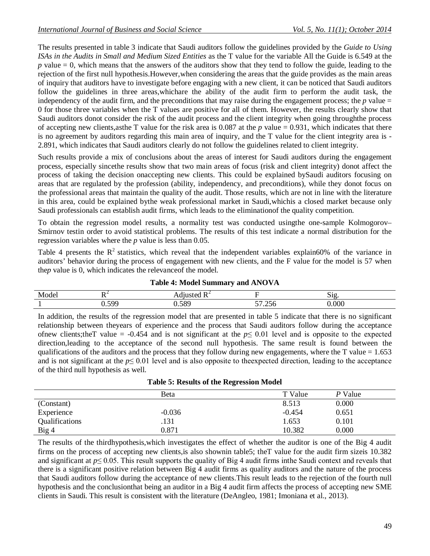The results presented in table 3 indicate that Saudi auditors follow the guidelines provided by the *Guide to Using ISAs in the Audits in Small and Medium Sized Entities* as the T value for the variable All the Guide is 6.549 at the *p* value = 0, which means that the answers of the auditors show that they tend to follow the guide, leading to the rejection of the first null hypothesis.However,when considering the areas that the guide provides as the main areas of inquiry that auditors have to investigate before engaging with a new client, it can be noticed that Saudi auditors follow the guidelines in three areas,whichare the ability of the audit firm to perform the audit task, the independency of the audit firm, and the preconditions that may raise during the engagement process; the  $p$  value  $=$ 0 for those three variables when the T values are positive for all of them. However, the results clearly show that Saudi auditors donot consider the risk of the audit process and the client integrity when going throughthe process of accepting new clients,asthe T value for the risk area is  $0.087$  at the  $p$  value = 0.931, which indicates that there is no agreement by auditors regarding this main area of inquiry, and the T value for the client integrity area is - 2.891, which indicates that Saudi auditors clearly do not follow the guidelines related to client integrity.

Such results provide a mix of conclusions about the areas of interest for Saudi auditors during the engagement process, especially sincethe results show that two main areas of focus (risk and client integrity) donot affect the process of taking the decision onaccepting new clients. This could be explained bySaudi auditors focusing on areas that are regulated by the profession (ability, independency, and preconditions), while they donot focus on the professional areas that maintain the quality of the audit. Those results, which are not in line with the literature in this area, could be explained bythe weak professional market in Saudi,whichis a closed market because only Saudi professionals can establish audit firms, which leads to the eliminationof the quality competition.

To obtain the regression model results, a normality test was conducted usingthe one-sample Kolmogorov– Smirnov testin order to avoid statistical problems. The results of this test indicate a normal distribution for the regression variables where the *p* value is less than 0.05.

Table 4 presents the  $R^2$  statistics, which reveal that the independent variables explain60% of the variance in auditors' behavior during the process of engagement with new clients, and the F value for the model is 57 when the*p* value is 0, which indicates the relevanceof the model.

|       |          | __                 |                                      |               |
|-------|----------|--------------------|--------------------------------------|---------------|
| Model | ┒∠       | T<br>111 $ct$ $AC$ |                                      | $\sim$<br>⊻ا⊂ |
|       | 'nr<br>ັ | 580<br>J.JO.       | $\sim$ $\sim$ $\sim$<br>--<br>ں رے . | 0.000         |

**Table 4: Model Summary and ANOVA**

In addition, the results of the regression model that are presented in table 5 indicate that there is no significant relationship between theyears of experience and the process that Saudi auditors follow during the acceptance of new clients;the T value =  $-0.454$  and is not significant at the  $p \le 0.01$  level and is opposite to the expected direction,leading to the acceptance of the second null hypothesis. The same result is found between the qualifications of the auditors and the process that they follow during new engagements, where the T value  $= 1.653$ and is not significant at the  $p \le 0.01$  level and is also opposite to the expected direction, leading to the acceptance of the third null hypothesis as well.

| <b>Table 5: Results of the Regression Model</b> |  |  |  |
|-------------------------------------------------|--|--|--|
|-------------------------------------------------|--|--|--|

|                | Beta     | T Value  | P Value |
|----------------|----------|----------|---------|
| (Constant)     |          | 8.513    | 0.000   |
| Experience     | $-0.036$ | $-0.454$ | 0.651   |
| Qualifications | .131     | 1.653    | 0.101   |
| Big 4          | 0.871    | 10.382   | 0.000   |

The results of the thirdhypothesis,which investigates the effect of whether the auditor is one of the Big 4 audit firms on the process of accepting new clients,is also shownin table5; theT value for the audit firm sizeis 10.382 and significant at *p*≤ 0.05. This result supports the quality of Big 4 audit firms inthe Saudi context and reveals that there is a significant positive relation between Big 4 audit firms as quality auditors and the nature of the process that Saudi auditors follow during the acceptance of new clients.This result leads to the rejection of the fourth null hypothesis and the conclusionthat being an auditor in a Big 4 audit firm affects the process of accepting new SME clients in Saudi. This result is consistent with the literature (DeAngleo, 1981; Imoniana et al., 2013).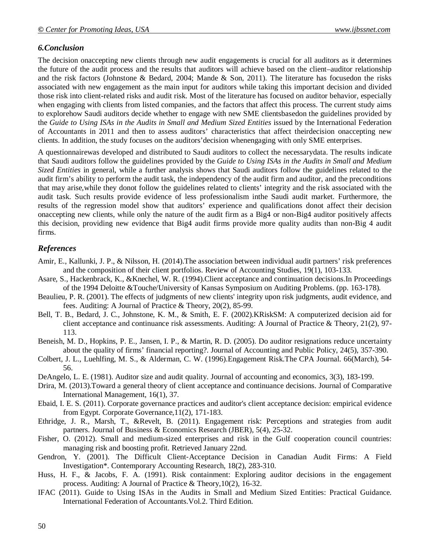## *6.Conclusion*

The decision onaccepting new clients through new audit engagements is crucial for all auditors as it determines the future of the audit process and the results that auditors will achieve based on the client–auditor relationship and the risk factors (Johnstone & Bedard, 2004; Mande & Son, 2011). The literature has focusedon the risks associated with new engagement as the main input for auditors while taking this important decision and divided those risk into client-related risks and audit risk. Most of the literature has focused on auditor behavior, especially when engaging with clients from listed companies, and the factors that affect this process. The current study aims to explorehow Saudi auditors decide whether to engage with new SME clientsbasedon the guidelines provided by the *Guide to Using ISAs in the Audits in Small and Medium Sized Entities* issued by the International Federation of Accountants in 2011 and then to assess auditors' characteristics that affect theirdecision onaccepting new clients. In addition, the study focuses on the auditors'decision whenengaging with only SME enterprises.

A questionnairewas developed and distributed to Saudi auditors to collect the necessarydata. The results indicate that Saudi auditors follow the guidelines provided by the *Guide to Using ISAs in the Audits in Small and Medium Sized Entities* in general, while a further analysis shows that Saudi auditors follow the guidelines related to the audit firm's ability to perform the audit task, the independency of the audit firm and auditor, and the preconditions that may arise,while they donot follow the guidelines related to clients' integrity and the risk associated with the audit task. Such results provide evidence of less professionalism inthe Saudi audit market. Furthermore, the results of the regression model show that auditors' experience and qualifications donot affect their decision onaccepting new clients, while only the nature of the audit firm as a Big4 or non-Big4 auditor positively affects this decision, providing new evidence that Big4 audit firms provide more quality audits than non-Big 4 audit firms.

## *References*

- Amir, E., Kallunki, J. P., & Nilsson, H. (2014).The association between individual audit partners' risk preferences and the composition of their client portfolios. Review of Accounting Studies, 19(1), 103-133.
- Asare, S., Hackenbrack, K., &Knechel, W. R. (1994).Client acceptance and continuation decisions.In Proceedings of the 1994 Deloitte &Touche/University of Kansas Symposium on Auditing Problems. (pp. 163-178).
- Beaulieu, P. R. (2001). The effects of judgments of new clients' integrity upon risk judgments, audit evidence, and fees. Auditing: A Journal of Practice & Theory, 20(2), 85-99.
- Bell, T. B., Bedard, J. C., Johnstone, K. M., & Smith, E. F. (2002).KRiskSM: A computerized decision aid for client acceptance and continuance risk assessments. Auditing: A Journal of Practice & Theory, 21(2), 97- 113.
- Beneish, M. D., Hopkins, P. E., Jansen, I. P., & Martin, R. D. (2005). Do auditor resignations reduce uncertainty about the quality of firms' financial reporting?. Journal of Accounting and Public Policy, 24(5), 357-390.
- Colbert, J. L., Luehlfing, M. S., & Alderman, C. W. (1996).Engagement Risk.The CPA Journal. 66(March), 54- 56.
- DeAngelo, L. E. (1981). Auditor size and audit quality. Journal of accounting and economics, 3(3), 183-199.
- Drira, M. (2013).Toward a general theory of client acceptance and continuance decisions. Journal of Comparative International Management, 16(1), 37.
- Ebaid, I. E. S. (2011). Corporate governance practices and auditor's client acceptance decision: empirical evidence from Egypt. Corporate Governance,11(2), 171-183.
- Ethridge, J. R., Marsh, T., &Revelt, B. (2011). Engagement risk: Perceptions and strategies from audit partners. Journal of Business & Economics Research (JBER), 5(4), 25-32.
- Fisher, O. (2012). Small and medium-sized enterprises and risk in the Gulf cooperation council countries: managing risk and boosting profit. Retrieved January 22nd.
- Gendron, Y. (2001). The Difficult Client‐Acceptance Decision in Canadian Audit Firms: A Field Investigation\*. Contemporary Accounting Research, 18(2), 283-310.
- Huss, H. F., & Jacobs, F. A. (1991). Risk containment: Exploring auditor decisions in the engagement process. Auditing: A Journal of Practice & Theory,10(2), 16-32.
- IFAC (2011). Guide to Using ISAs in the Audits in Small and Medium Sized Entities: Practical Guidance. International Federation of Accountants.Vol.2. Third Edition.